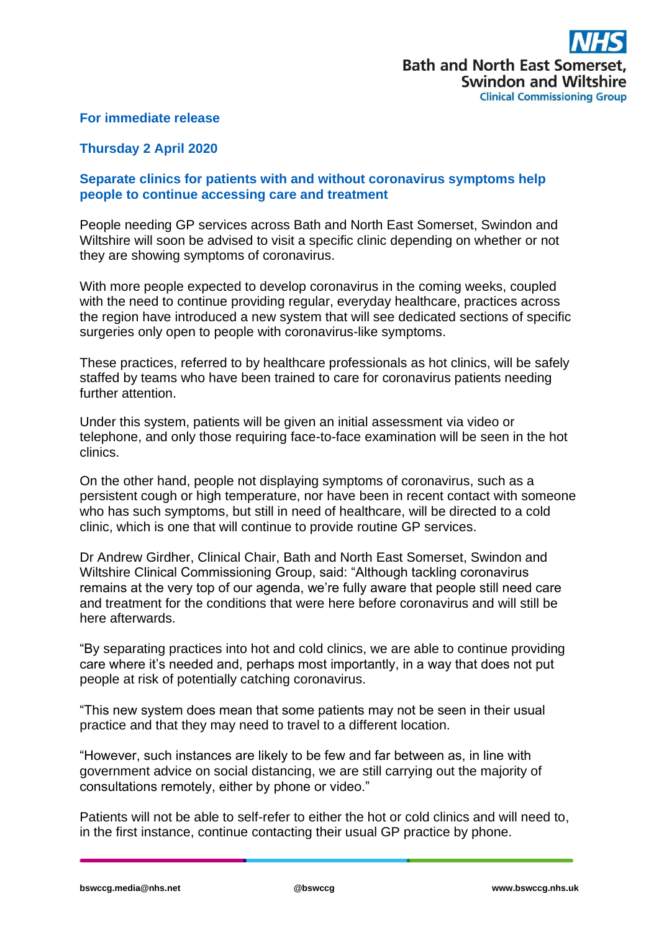## **For immediate release**

## **Thursday 2 April 2020**

## **Separate clinics for patients with and without coronavirus symptoms help people to continue accessing care and treatment**

People needing GP services across Bath and North East Somerset, Swindon and Wiltshire will soon be advised to visit a specific clinic depending on whether or not they are showing symptoms of coronavirus.

With more people expected to develop coronavirus in the coming weeks, coupled with the need to continue providing regular, everyday healthcare, practices across the region have introduced a new system that will see dedicated sections of specific surgeries only open to people with coronavirus-like symptoms.

These practices, referred to by healthcare professionals as hot clinics, will be safely staffed by teams who have been trained to care for coronavirus patients needing further attention.

Under this system, patients will be given an initial assessment via video or telephone, and only those requiring face-to-face examination will be seen in the hot clinics.

On the other hand, people not displaying symptoms of coronavirus, such as a persistent cough or high temperature, nor have been in recent contact with someone who has such symptoms, but still in need of healthcare, will be directed to a cold clinic, which is one that will continue to provide routine GP services.

Dr Andrew Girdher, Clinical Chair, Bath and North East Somerset, Swindon and Wiltshire Clinical Commissioning Group, said: "Although tackling coronavirus remains at the very top of our agenda, we're fully aware that people still need care and treatment for the conditions that were here before coronavirus and will still be here afterwards.

"By separating practices into hot and cold clinics, we are able to continue providing care where it's needed and, perhaps most importantly, in a way that does not put people at risk of potentially catching coronavirus.

"This new system does mean that some patients may not be seen in their usual practice and that they may need to travel to a different location.

"However, such instances are likely to be few and far between as, in line with government advice on social distancing, we are still carrying out the majority of consultations remotely, either by phone or video."

Patients will not be able to self-refer to either the hot or cold clinics and will need to, in the first instance, continue contacting their usual GP practice by phone.

**bswccg.media@nhs.net @bswccg www.bswccg.nhs.uk**